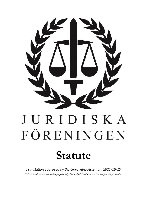

# JURIDISKA FÖRENINGEN

# **Statute**

*Translation approved by the Governing Assembly 2021-10-19 This translation is for information purposes only. The original Swedish version has interpretative prerogative.*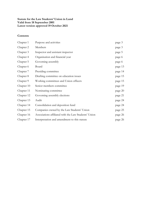# **Statute for the Law Students' Union in Lund Valid from 18 September 2001 Latest version approved 19 October 2021**

# **Contents**

| Chapter 1  | Purpose and activities                               | page 3  |
|------------|------------------------------------------------------|---------|
| Chapter 2  | Members                                              | page 3  |
| Chapter 3  | Inspector and assistant inspector                    | page 5  |
| Chapter 4  | Organisation and financial year                      | page 6  |
| Chapter 5  | Governing assembly                                   | page 6  |
| Chapter 6  | Board                                                | page 13 |
| Chapter 7  | Presiding committee                                  | page 14 |
| Chapter 8  | Drafting committee on education issues               | page 15 |
| Chapter 9  | Working committees and Union officers                | page 15 |
| Chapter 10 | Senior members committee                             | page 19 |
| Chapter 11 | Nominating committee                                 | page 20 |
| Chapter 12 | Governing assembly elections                         | page 21 |
| Chapter 13 | Audit                                                | page 24 |
| Chapter 14 | Consolidation and deposition fund                    | page 24 |
| Chapter 15 | Companies owned by the Law Students' Union           | page 25 |
| Chapter 16 | Associations affiliated with the Law Students' Union | page 26 |
| Chapter 17 | Interpretation and amendment to this statute         | page 26 |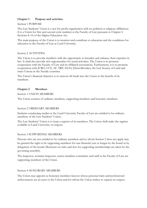# **Chapter 1 Purpose and activities**

Section 1 PURPOSE

The Law Students' Union is a not-for-profit organisation with no political or religious affiliations. It is a Union for first and second cycle students at the Faculty of Law pursuant to Chapter 4 Sections 8–14 of the Higher Education Act.

The main purpose of the Union is to monitor and contribute to education and the conditions for education at the Faculty of Law at Lund University.

# Section 2 ACTIVITIES

The Union is to provide members with the opportunity to broaden and enhance their expertise in law. It shall also provide rich opportunities for social activities. The Union is to promote cooperation with the Faculty of Law and its affiliated associations. Furthermore, it is to promote cooperation with JURO, LUS, AF*,* TRF, ELSA, Domvilleorden, the Law Society of Lund and sister Unions in the Nordic countries.

The Union's financial objective is to reinvest all funds into the Union to the benefit of its members.

# **Chapter 2 Members**

Section 1 UNION MEMBERS

The Union consists of ordinary members, supporting members and honorary members.

# Section 2 ORDINARY MEMBERS

Students conducting studies at the Lund University Faculty of Law are entitled to be ordinary members of the Law Students' Union**.** 

The Law Students' Union is to keep a register of its members. The Union shall make the register available to Lund University on request.

#### Section 3 SUPPORTING MEMBERS

Persons who are not entitled to be ordinary members and to whom Section 2 does not apply may be granted the right to be supporting members for one financial year or longer by the board or by delegation of the board. Decisions on rules and fees for supporting memberships are taken by the governing assembly.

The inspector, assistant inspector, senior members committee and staff at the Faculty of Law are supporting members of the Union.

#### Section 4 HONORARY MEMBERS

The Union may appoint as honorary members lawyers whose personal traits and professional achievements are an asset to the Union and for whom the Union wishes to express its respect.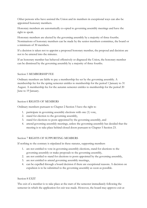Other persons who have assisted the Union and its members in exceptional ways can also be appointed honorary members.

Honorary members are automatically co-opted to governing assembly meetings and have the right to speak.

Honorary members are elected by the governing assembly by a majority of three fourths. Nominations of honorary members can be made by the senior members committee, the board or a minimum of 30 members.

If a decision is taken not to appoint a proposed honorary member, the proposal and decision are not to be entered into the minutes.

If an honorary member has behaved offensively or disgraced the Union, the honorary member can be dismissed by the governing assembly by a majority of three fourths.

### Section 5 MEMBERSHIP FEE

Ordinary members are liable to pay a membership fee set by the governing assembly. A membership fee for the spring semester entitles to membership for the period 1 January to 31 August. A membership fee for the autumn semester entitles to membership for the period 20 June to 19 January.

#### Section 6 RIGHTS OF MEMBERS

Ordinary members pursuant to Chapter 2 Section 5 have the right to

- 1. participate in governing assembly elections with one (1) vote,
- 2. stand for election to the governing assembly,
- 3. stand for elections to posts appointed by the governing assembly, and
- 4. attend governing assembly meetings, unless the governing assembly has decided that the meeting is to take place behind closed doors pursuant to Chapter 5 Section 23.

#### Section 7 RIGHTS OF SUPPORTING MEMBERS

If nothing to the contrary is stipulated in these statutes, supporting members

- 1. are not entitled to vote in governing assembly elections, stand for elections to the governing assembly or make proposals to the governing assembly,
- 2. are not entitled to stand for elections to posts appointed by the governing assembly,
- 3. are not entitled to attend governing assembly meetings,
- 4. can be expelled through a board decision if there are exceptional reasons. A decision on expulsion is to be submitted to the governing assembly as soon as possible.

#### Section 8 EXIT

The exit of a member is to take place at the start of the semester immediately following the semester in which the application for exit was made. However, the board may approve exit at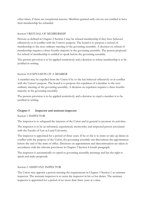other times, if there are exceptional reasons. Members granted early exit are not entitled to have their membership fee refunded.

# Section 9 REFUSAL OF MEMBERSHIP

Persons as defined in Chapter 2 Section 2 may be refused membership if they have behaved offensively or in conflict with the Union's purpose. The board is to propose a refusal of membership to the next ordinary meeting of the governing assembly. A decision on refusal of membership requires a three-fourths majority in the governing assembly. The person proposed for refusal of membership is entitled to speak before the governing assembly.

The present provision is to be applied restrictively and a decision to refuse membership is to be justified in writing.

# Section 10 EXPULSION OF A MEMBER

A member may be expelled from the Union if he or she has behaved offensively or in conflict with the Union's purpose. The board is to propose the expulsion of a member to the next ordinary meeting of the governing assembly. A decision on expulsion requires a three-fourths majority in the governing assembly.

The present provision is to be applied restrictively and a decision to expel a member is to be justified in writing.

# **Chapter 3 Inspector and assistant inspector**

Section 1 INSPECTOR

The inspector is to safeguard the interests of the Union and in general to promote its activities.

The inspector is to be an informed, experienced, trustworthy and respected person associated with the Faculty of Law at Lund University.

The inspector is appointed for a period of three years. If he or she is to retire or take up duties in conflict with the purpose of the Union, the governing assembly can discontinue the appointment before the end of the term of office. Decisions on appointment and discontinuation are taken in accordance with the relevant provisions in Chapter 2 Section 4 fourth paragraph.

The inspector is automatically co-opted to governing assembly meetings and has the right to speak and make proposals.

# Section 2 ASSISTANT INSPECTOR

The Union may appoint a person meeting the requirements in Chapter 3 Section 1 as assistant inspector. The assistant inspector is to assist the inspector in his or her duties. The assistant inspector is appointed for a period of no more than three years at a time.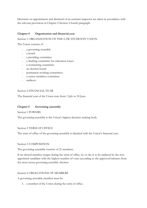Decisions on appointment and dismissal of an assistant inspector are taken in accordance with the relevant provisions in Chapter 2 Section 4 fourth paragraph.

# **Chapter 4 Organisation and financial year**

# Section 1 ORGANISATION OF THE LAW STUDENTS' UNION

The Union consists of

- a governing assembly
- a board
- a presiding committee
- a drafting committee for education issues
- a nominating committee
- an election board
- permanent working committees
- a senior members committee
- auditors.

### Section 2 FINANCIAL YEAR

The financial year of the Union runs from 1 July to 30 June.

# **Chapter 5 Governing assembly**

Section 1 POWERS

The governing assembly is the Union's highest decision-making body.

#### Section 2 TERM OF OFFICE

The term of office of the governing assembly is identical with the Union's financial year.

#### Section 3 COMPOSITION

The governing assembly consists of 21 members.

If an elected member resigns during the term of office, he or she is to be replaced by the nonappointed candidate with the highest number of votes according to the approved minutes from the most recent governing assembly election.

#### Section 4 OBLIGATIONS OF MEMBERS

A governing assembly member must be

1. a member of the Union during the term of office.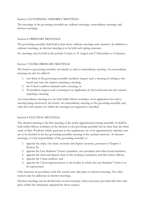# Section 5 GOVERNING ASSEMBLY MEETINGS

The meetings of the governing assembly are ordinary meetings, extraordinary meetings and election meetings.

### Section 6 ORDINARY MEETINGS

The governing assembly shall hold at least three ordinary meetings each semester. In addition to ordinary meetings, an election meeting is to be held each spring semester.

No meetings may be held in the periods 15 June to 31 August and 15 December to 15 January.

### Section 7 EXTRAORDINARY MEETINGS

The board or governing assembly can decide to call an extraordinary meeting. An extraordinary meeting can also be called if

- 1. one third of the governing assembly members request such a meeting in writing to the board and state the matters requiring a meeting,
- 2. the Union's auditors demand such a meeting, or
- 3. 50 members request such a meeting in an application to the board and state the matters requiring a meeting.

An extraordinary meeting is to be held within fifteen weekdays of an application for such a meeting being received by the board. An extraordinary meeting of the governing assembly may only deal with matters for which the meeting was requested or decided.

# Section 8 ELECTION MEETINGS

The election meeting is the first meeting of the newly appointed governing assembly. It shall be held within fifteen weekdays of the election to the governing assembly but no later than the third week of May. Positions which, pursuant to the regulations, are to be appointed per calendar year, are to be decided at the last governing assembly meeting of the autumn semester. At election meetings, it is the responsibility of the governing assembly to

- 1. appoint the chair, vice-chair, secretary and deputy secretary, pursuant to Chapter 5 Section 30,
- 2. appoint the Law Students' Union's president, vice-president and other board members,
- 3. appoint the chair and deputy chair of the working committees and the Union officers,
- 4. appoint the Union auditors, and
- 5. appoint the Union representatives to the bodies in which the Law Students' Union is to be represented.

Only elections in accordance with this section may take place at election meetings. No other matters may be addressed at election meetings.

Election meetings can be divided into several meetings, when necessary, provided that they take place within the timeframe stipulated by these statutes.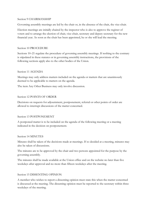#### Section 9 CHAIRMANSHIP

Governing assembly meetings are led by the chair or, in the absence of the chair, the vice-chair.

Election meetings are initially chaired by the inspector who is also to approve the register of voters and to arrange the election of chair, vice-chair, secretary and deputy secretary for the new financial year. As soon as the chair has been appointed, he or she will lead the meeting.

#### Section 10 PROCEDURE

Sections 10–21 regulate the procedure of governing assembly meetings. If nothing to the contrary is stipulated in these statutes or in governing assembly instructions, the provisions of the following sections apply also to the other bodies of the Union.

#### Section 11 AGENDA

Meetings may only address matters included on the agenda or matters that are unanimously deemed to be applicable to matters on the agenda.

The item Any Other Business may only involve discussion.

#### Section 12 POINTS OF ORDER

Decisions on requests for adjournment, postponement, referral or other points of order are allowed to interrupt discussions of the matter concerned.

#### Section 13 POSTPONEMENT

A postponed matter is to be included on the agenda of the following meeting or a meeting indicated in the decision on postponement.

#### Section 14 MINUTES

Minutes shall be taken of the decisions made at meetings. If so decided at a meeting, minutes may also be taken of discussions.

The minutes are to be approved by the chair and two persons appointed for the purpose by the governing assembly.

The minutes shall be made available at the Union office and on the website no later than five weekdays after approval and no more than fifteen weekdays after the meeting.

#### Section 15 DISSENTING OPINION

A member who wishes to report a dissenting opinion must state this when the matter concerned is discussed at the meeting. The dissenting opinion must be reported to the secretary within three weekdays of the meeting.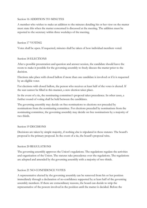#### Section 16 ADDITION TO MINUTES

A member who wishes to make an addition to the minutes detailing his or her view on the matter must state this when the matter concerned is discussed at the meeting. The addition must be reported to the secretary within three weekdays of the meeting.

### Section 17 VOTING

Votes shall be open. If requested, minutes shall be taken of how individual members voted.

### Section 18 ELECTIONS

After a possible presentation and question and answer session, the candidate should leave the room to make it possible for the governing assembly to freely discuss the matter prior to the decision.

Elections take place with closed ballots if more than one candidate is involved or if it is requested by an eligible voter.

For elections with closed ballots, the person who receives at least half of the votes is elected. If the seat cannot be filled in this manner, a new election takes place.

In the event of a tie, the nominating committee's proposal takes precedence. In other cases, a further round of voting shall be held between the candidates.

The governing assembly may decide on free nominations to elections not preceded by nominations from the nominating committee. For elections preceded by nominations from the nominating committee, the governing assembly may decide on free nominations by a majority of two thirds.

#### Section 19 DECISIONS

Decisions are taken by simple majority, if nothing else is stipulated in these statutes. The board's proposal is the primary proposal. In the event of a tie, the board's proposal wins.

# Section 20 REGULATIONS

The governing assembly approves the Union's regulations. The regulations regulate the activities and organisation of the Union. The statutes take precedence over the regulations. The regulations are adopted and amended by the governing assembly with a majority of two thirds.

# Section 21 NO-CONFIDENCE VOTES

A representative elected by the governing assembly can be removed from his or her position immediately through a declaration of no-confidence supported by at least half of the governing assembly members. If there are extraordinary reasons, the board can decide to strip the representative of the powers involved in the position until the matter is decided. Before the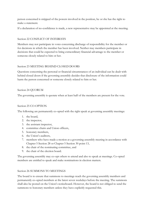person concerned is stripped of the powers involved in the position, he or she has the right to make a statement.

If a declaration of no-confidence is made, a new representative may be appointed at the meeting.

# Section 22 CONFLICT OF INTERESTS

Members may not participate in votes concerning discharge of responsibility for the member or for decisions in which the member has been involved. Neither may members participate in decisions that could be expected to bring extraordinary financial advantage to the member or someone closely related to him or her.

### Section 23 MEETING BEHIND CLOSED DOORS

Questions concerning the personal or financial circumstances of an individual can be dealt with behind closed doors if the governing assembly decides that disclosure of the information could harm the person concerned or someone closely related to him or her.

### Section 24 QUORUM

The governing assembly is quorate when at least half of the members are present for the vote.

# Section 25 CO-OPTION

The following are permanently co-opted with the right speak at governing assembly meetings:

- 1. the board,
- 2. the inspector,
- 3. the assistant inspector,
- 4. committee chairs and Union officers,
- 5. honorary members,
- 6. the Union's auditors,
- 7. members who have made a motion at a governing assembly meeting in accordance with Chapter 5 Section 28 or Chapter 5 Section 30 point 13,
- 8. the chair of the nominating committee, and
- 9. the chair of the election board.

The governing assembly may co-opt others to attend and also to speak at meetings. Co-opted members are entitled to speak and make nominations in election matters.

#### Section 26 SUMMONS TO MEETINGS

The board is to ensure that summons to meetings reach the governing assembly members and permanently co-opted members at the latest seven weekdays before the meeting. The summons shall also be posted on the Union's noticeboard. However, the board is not obliged to send the summons to honorary members unless they have explicitly requested this.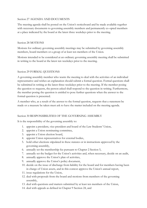### Section 27 AGENDA AND DOCUMENTS

The meeting agenda shall be posted on the Union's noticeboard and be made available together with necessary documents to governing assembly members and permanently co-opted members at a place indicated by the board at the latest three weekdays prior to the meeting.

#### Section 28 MOTIONS

Motions for ordinary governing assembly meetings may be submitted by governing assembly members, board members or a group of at least ten members of the Union.

Motions intended to be considered at an ordinary governing assembly meeting shall be submitted in writing to the board at the latest ten weekdays prior to the meeting.

# Section 29 FORMAL QUESTIONS

A governing assembly member who wants the meeting to deal with the activities of an individual representative and wishes an explanation should submit a formal question. Formal questions shall be submitted in writing at the latest three weekdays prior to the meeting. If the member posing the question so requests, the person asked shall respond to the question in writing. Furthermore, the member posing the question is entitled to pose further questions when the answer to the formal question is presented.

A member who, as a result of the answer to the formal question, requests that a statement be made or a measure be taken must ask to have the matter included on the meeting agenda.

#### Section 30 RESPONSIBILITIES OF THE GOVERNING ASSEMBLY

It is the responsibility of the governing assembly to:

- 1. appoint a president, vice-president and board of the Law Students' Union,
- 2. appoint a Union nominating committee,
- 3. appoint a Union election board,
- 4. appoint Union representatives for external bodies,
- 5. hold other elections stipulated in these statutes or in instructions approved by the governing assembly,
- 6. annually set the membership fee pursuant to Chapter 2 Section 5,
- 7. annually set the budget for the Union's activities and, when necessary, decide on an audit,
- 8. annually approve the Union's plan of activities,
- 9. annually approve the Union's policy document,
- 10. decide on the issue of discharge from liability for the board and for members having been in charge of Union assets, and in this context approve the Union's annual report,
- 11. issue regulations for the Union,
- 12. deal with proposals from the board and motions from members of the governing assembly,
- 13. deal with questions and matters submitted by at least ten members of the Union,
- 14. deal with appeals as defined in Chapter 9 Section 24, and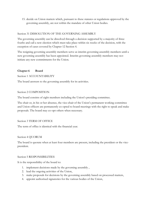15. decide on Union matters which, pursuant to these statutes or regulations approved by the governing assembly, are not within the mandate of other Union bodies.

# Section 31 DISSOLUTION OF THE GOVERNING ASSEMBLY

The governing assembly can be dissolved through a decision supported by a majority of three fouths and call a new election which must take place within six weeks of the decision, with the exception of cases covered by Chapter 12 Section 4.

The resigning governing assembly members serve as interim governing assembly members until a new governing assembly has been appointed. Interim governing assembly members may not initiate any new commitments for the Union.

### **Chapter 6 Board**

Section 1 ACCOUNTABILITY

The board answers to the governing assembly for its activities.

#### Section 2 COMPOSITION

The board consists of eight members including the Union's presiding committee.

The chair or, in his or her absence, the vice-chair of the Union's permanent working committee and Union officers are permanently co-opted to board meetings with the right to speak and make proposals. The board may co-opt others when necessary.

Section 3 TERM OF OFFICE

The term of office is identical with the financial year.

#### Section 4 QUORUM

The board is quorate when at least four members are present, including the president or the vicepresident.

#### Section 5 RESPONSIBILITIES

It is the responsibility of the board to:

- 1. implement decisions made by the governing assembly ,
- 2. lead the ongoing activities of the Union,
- 3. make proposals for decisions by the governing assembly based on processed matters,
- 4. appoint authorised signatories for the various bodies of the Union,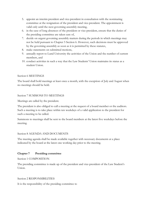- 5. appoint an interim president and vice-president in consultation with the nominating committee at the resignation of the president and vice-president. The appointment is valid only until the next governing assembly meeting,
- 6. in the case of long absences of the president or vice-president, ensure that the duties of the presiding committee are taken care of,
- 7. decide on urgent governing assembly matters during the periods in which meetings may not be held pursuant to Chapter 5 Section 6. However, such decisions must be approved by the governing assembly as soon as it is permitted by these statutes,
- 8. make statements on submitted motions,
- 9. annually report to Lund University the activities of the Union and the number of current members, and
- 10. conduct activities in such a way that the Law Students' Union maintains its status as a student Union.

# Section 6 MEETINGS

The board shall hold meetings at least once a month, with the exception of July and August when no meetings should be held.

# Section 7 SUMMONS TO MEETINGS

Meetings are called by the president.

The president is also obliged to call a meeting at the request of a board member or the auditors. Such a meeting is to take place within ten weekdays of a valid application to the president for such a meeting to be called.

Summons to meetings shall be sent to the board members at the latest five weekdays before the meeting.

#### Section 8 AGENDA AND DOCUMENTS

The meeting agenda shall be made available together with necessary documents at a place indicated by the board at the latest one working day prior to the meeting.

# **Chapter 7 Presiding committee**

Section 1 COMPOSITION

The presiding committee is made up of the president and vice-president of the Law Student's Union.

#### Section 2 RESPONSIBILITIES

It is the responsibility of the presiding committee to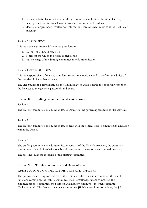- 1. present a draft plan of activities to the governing assembly at the latest in October,
- 2. manage the Law Students' Union in consultation with the board, and
- 3. decide on urgent board matters and inform the board of such decisions at the next board meeting.

### Section 3 PRESIDENT

It is the particular responsibility of the president to

- 1. call and chair board meetings,
- 2. represent the Union in official contexts, and
- 3. call meetings of the drafting committee for education issues.

#### Section 4 VICE-PRESIDENT

It is the responsibility of the vice-president to assist the president and to perform the duties of the president in his or her absence.

The vice-president is responsible for the Union finances and is obliged to continually report on the finances to the governing assembly and board.

### **Chapter 8 Drafting committee on education issues**

Section 1

The drafting committee on education issues answers to the governing assembly for its activities.

#### Section 2

The drafting committee on education issues deals with the general issues of monitoring education within the Union.

#### Section 3

The drafting committee on education issues consists of the Union's president, the education committee chair and vice-chairs, one board member and the most recently retired president.

The president calls the meetings of the drafting committee.

# **Chapter 9 Working committees and Union officers**

#### Section 1 UNION WORKING COMMITTEES AND OFFICERS

The permanent working committees of the Union are: the education committee, the social functions committee, the lecture committee, the international student committee, the communications committee, the business and industry committee, the spex committee (Dolu§pexarna), Dissidenten, the novice committee, JIPPO, the culture committee, the JiA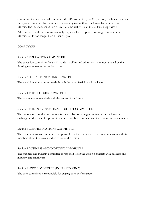committee, the international committee, the SJM committee, the Culpa choir, the house band and the sports committee. In addition to the working committees, the Union has a number of officers. The independent Union officers are the archivist and the buildings supervisor.

When necessary, the governing assembly may establish temporary working committees or officers, but for no longer than a financial year.

# COMMITTEES

#### Section 2 EDUCATION COMMITTEE

The education committee deals with student welfare and education issues not handled by the drafting committee on education issues.

### Section 3 SOCIAL FUNCTIONS COMMITTEE

The social functions committee deals with the larger festivities of the Union.

### Section 4 THE LECTURE COMMITTEE

The lecture committee deals with the events of the Union.

# Section 5 THE INTERNATIONAL STUDENT COMMITTEE

The international student committee is responsible for arranging activities for the Union's exchange students and for promoting interaction between them and the Union's other members.

#### Section 6 COMMUNICATIONS COMMITTEE

The communications committee is responsible for the Union's external communication with its members about the events and activities of the Union.

#### Section 7 BUSINESS AND INDUSTRY COMMITTEE

The business and industry committee is responsible for the Union's contacts with business and industry, and employers.

# Section 8 SPEX COMMITTEE (DOLU§PEXARNA)

The spex committee is responsible for staging spex performances.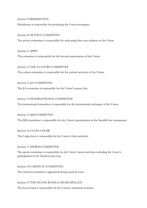Section 9 DISSIDENTEN

Dissidenten is responsible for producing the Union newspaper.

#### Section 10 NOVICE COMMITTEE

The novice committee is responsible for welcoming first-year students to the Union.

Section 11 JIPPO The committee is responsible for the internal amusements of the Union.

Section 12 THE CULTURE COMMITTEE The culture committee is responsible for the cultural activities of the Union.

Section 13 JiA COMMITTEE The JiA committee is responsible for the Union's careers fair.

Section 14 INTERNATIONAL COMMITTEE

The international committee is responsible for the international exchanges of the Union.

Section 15 SJM COMMITTEE

The SJM committee is responsible for the Union's participation in the Swedish law tournament.

Section 16 CULPA CHOIR

The Culpa choir is responsible for the Union's choir activities.

Section 17 SPORTS COMMITTEE

The sports committee is responsible for the Union's sports activities including the Union's participation in the Tandem relay race.

Section 18 CARNIVAL COMMITTEE

The carnival committee is appointed during carnival years.

Section 19 THE HOUSE BAND (CASUSKAPELLET)

The house band is responsible for the Union's orchestral activities.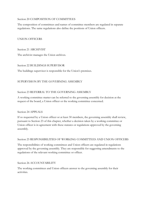#### Section 20 COMPOSITION OF COMMITTEES

The composition of committees and names of committee members are regulated in separate regulations. The same regulations also define the positions of Union officers.

# UNION OFFICERS

Section 21 ARCHIVIST

The archivist manages the Union archives.

Section 22 BUILDINGS SUPERVISOR

The buildings supervisor is responsible for the Union's premises.

# SUPERVISION BY THE GOVERNING ASSEMBLY

### Section 23 REFERRAL TO THE GOVERNING ASSEMBLY

A working committee matter can be referred to the governing assembly for decision at the request of the board, a Union officer or the working committee concerned.

#### Section 24 APPEALS

If so requested by a Union officer or at least 30 members, the governing assembly shall review, pursuant to Section 23 of this chapter, whether a decision taken by a working committee or Union officer is in agreement with these statutes or regulations approved by the governing assembly.

#### Section 25 RESPONSIBILITIES OF WORKING COMMITTEES AND UNION OFFICERS

The responsibilities of working committees and Union officers are regulated in regulations approved by the governing assembly. They are responsible for suggesting amendments to the regulations of the relevant working committee or officer.

Section 26 ACCOUNTABILITY

The working committees and Union officers answer to the governing assembly for their activities.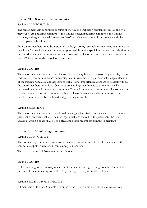### **Chapter 10 Senior members committee**

#### Section 1 COMPOSITION

The senior members committee consists of the Union's inspector, assistant inspector, the two previous years' presiding committees, the Union's current presiding committee, the Union's archivist, and eight so-called "senior members", which are appointed in accordance with the second paragraph below.

Four senior members are to be appointed by the governing assembly for two years at a time. The remaining four senior members are to be appointed through a special procedure by an election of the presiding members committee, which consists of the Union's former presiding committees from 1996 and onwards, as well as its creators.

#### Section 2 DUTIES

The senior members committee shall serve as an advisory body to the governing assembly, board and working committees. Issues concerning major investments, organisational changes, election of the inspector and assistant inspector as well as other important matters are to be dealt with by the senior members committee. Questions concerning amendments to the statute shall be processed by the senior members committee. The senior members committee shall also, as far as possible, work to promote continuity within the Union's activities and otherwise solve the problems referred to it by the board and governing assembly.

#### Section 3 MEETINGS

The senior members committee shall hold meetings at least twice each semester. The Union's president or archivist shall call the meetings, which are chaired by the president. The Law Students' Union's board shall be co-opted at the senior members committee meetings.

# **Chapter 11 Nominating committee**

#### Section 1 COMPOSITION

The nominating committee consists of a chair and four other members. The members of the committee appoint a vice-chair from among its members.

The term of office is 1 November to 30 October.

#### Section 2 DUTIES

Unless anything to the contrary is stated in these statutes or a governing assembly decision, it is the duty of the nominating committee to prepare governing assembly elections.

#### Section 3 RIGHT OF NOMINATION

All members of the Law Students' Union have the right to nominate candidates to elections.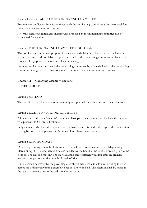### Section 4 PROPOSALS TO THE NOMINATING COMMITTEE

Proposals of candidates for election must reach the nominating committee at least ten weekdays prior to the relevant election meeting.

After this date, only candidates unanimously proposed by the nominating committee can be nominated for election.

# Section 5 THE NOMINATING COMMITTEE'S PROPOSAL

The nominating committee's proposal for an election decision is to be posted on the Union's noticeboard and made available at a place indicated by the nominating committee no later than seven weekdays prior to the relevant election meeting.

Counter-nominations must reach the nominating committee by a date decided by the nominating committee, though no later than four weekdays prior to the relevant election meeting.

# **Chapter 12 Governing assembly elections**

GENERAL RULES

# Section 1 METHOD

The Law Students' Union governing assembly is appointed through secret and direct elections.

# Section 2 RIGHT TO VOTE AND ELIGIBILITY

All members of the Law Students' Union who have paid their membership fee have the right to vote pursuant to Chapter 2 Section 5.

Only members who have the right to vote and have been registered and accepted the nomination are eligible for election pursuant to Sections 11 and 14 of this chapter.

# Section 3 ELECTION DATE

Ordinary governing assembly elections are to be held on three consecutive weekdays during March or April. The exact election date is decided by the board at the latest six weeks prior to the election. The election meeting is to be held at the earliest fifteen weekdays after an ordinary election, though no later than the third week of May.

If it is deemed necessary by the governing assembly it may decide to allow early voting the week before the ordinary governing assembly elections are to be held. This decision shall be made at the latest six weeks prior to the ordinary election date.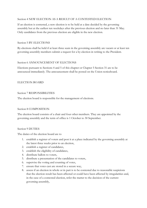### Section 4 NEW ELECTION AS A RESULT OF A CONTESTED ELECTION

If an election is contested, a new election is to be held at a date decided by the governing assembly but at the earliest ten weekdays after the previous election and no later than 31 May. Only candidates from the previous election are eligible in the new election.

#### Section 5 BY-ELECTIONS

By-elections shall be held if at least three seats in the governing assembly are vacant or at least ten governing assembly members submit a request for a by-election in writing to the President.

### Section 6 ANNOUNCEMENT OF ELECTIONS

Elections pursuant to Sections 4 and 5 of this chapter or Chapter 5 Section 31 are to be announced immediately. The announcement shall be posted on the Union noticeboard.

# ELECTION BOARD

### Section 7 RESPONSIBILITIES

The election board is responsible for the management of elections.

#### Section 8 COMPOSITION

The election board consists of a chair and four other members. They are appointed by the governing assembly and the term of office is 1 October to 30 September.

#### Section 9 DUTIES

The duties of the election board are to

- 1. establish a register of voters and post it at a place indicated by the governing assembly at the latest three weeks prior to an election,
- 2. establish a register of candidates,
- 3. establish the eligibility of candidates,
- 4. distribute ballots to voters,
- 5. distribute a presentation of the candidates to voters,
- 6. supervise the voting and counting of votes,
- 7. ensure that votes cast are stored in a secure way,
- 8. assess if an election in whole or in part is to be contested due to reasonable suspicions that the election result has been affected or could have been affected by irregularities and, in the case of a contested election, refer the matter to the decision of the current governing assembly,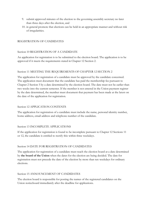- 9. submit approved minutes of the election to the governing assembly secretary no later than three days after the election, and
- 10. in general promote that elections can be held in an appropriate manner and without risk of irregularities.

# REGISTRATION OF CANDIDATES

#### Section 10 REGISTRATION OF A CANDIDATE

An application for registration is to be submitted to the election board. The application is to be approved if it meets the requirements stated in Chapter 12 Section 2.

### Section 11 MEETING THE REQUIREMENTS OF CHAPTER 12 SECTION 2

The application for registration of a candidate must be approved by the candidate concerned. The application must document that the candidate has paid the membership fee pursuant to Chapter 2 Section 5 by a date determined by the election board. The date must not be earlier than two weeks into the current semester. If the member is not entered in the Union payment register by the date determined, the member must document that payment has been made at the latest on the date of the application for registration.

# Section 12 APPLICATION CONTENTS

The application for registration of a candidate must include the name, personal identity number, home address, email address and telephone number of the candidate.

#### Section 13 INCOMPLETE APPLICATIONS

If the application for registration is found to be incomplete pursuant to Chapter 12 Sections 11 or 12, the candidate is entitled to rectify this within three weekdays.

#### Section 14 DATE FOR REGISTRATION OF CANDIDATES

The application for registration of a candidate must reach the election board at a date determined by **the board of the Union** when the dates for the election are being decided. The date for registration must not precede the date of the election by more than ten weekdays for ordinary elections.

#### Section 15 ANNOUNCEMENT OF CANDIDATES

The election board is responsible for posting the names of the registered candidates on the Union noticeboard immediately after the deadline for applications.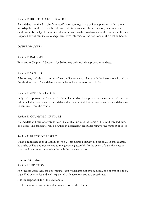#### Section 16 RIGHT TO CLARIFICATION

A candidate is entitled to clarify or rectify shortcomings in his or her application within three weekdays before the election board takes a decision to reject the application, determine the candidate to be ineligible or another decision that is to the disadvantage of the candidate. It is the responsibility of candidates to keep themselves informed of the decisions of the election board.

# OTHER MATTERS

#### Section 17 BALLOTS

Pursuant to Chapter 12 Section 10, a ballot may only include approved candidates.

#### Section 18 VOTING

A ballot may include a maximum of ten candidates in accordance with the instructions issued by the election board. A candidate may only be included once on each ballot.

#### Section 19 APPROVED VOTES

Only ballots pursuant to Section 18 of this chapter shall be approved at the counting of votes. A ballot including non-registered candidates shall be counted, but the non-registered candidates will be removed from the count.

#### Section 20 COUNTING OF VOTES

A candidate will earn one vote for each ballot that includes the name of the candidate indicated by a voter. The candidates will be ranked in descending order according to the number of votes.

#### Section 21 ELECTION RESULT

When a candidate ends up among the top 21 candidates pursuant to Section 20 of this chapter, he or she will be declared elected to the governing assembly. In the event of a tie, the election board will determine the ranking through the drawing of lots.

#### **Chapter 13 Audit**

#### Section 1 AUDITORS

For each financial year, the governing assembly shall appoint two auditors, one of whom is to be a qualified economist and well acquainted with accounts, and two substitutes.

It is the responsibility of the auditors to

1. review the accounts and administration of the Union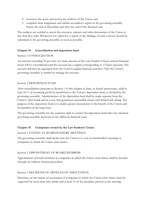- 2. inventory the assets and review the archives of the Union, and
- 3. complete their assignment and submit an auditor's report to the governing assembly before the end of December and after the end of the financial year.

The auditors are entitled to access the accounts, minutes and other documents of the Union at any time they wish. Whenever it is called for, a report of the findings of such a review should be submitted to the governing assembly as soon as possible.

# **Chapter 14 Consolidation and deposition fund**

# Section 1 CONSOLIDATION

An amount exceeding 50 per cent of a basic amount of the Law Student Union's annual financial result will be consolidated until the account has a capital corresponding to 13 basic amounts. The account will then be separated from the Union's regular financial activities. Only the Union's governing assembly is entitled to manage the account.

# Section 2 DEPOSITION FUND

After consolidation pursuant to Section 1 of this chapter is done, or found unnecessary, shall at least 10 % of remaining profit be transferred to the Union's deposition fund, as decided by the governing assembly. Administration of the deposition fund shall be made separate from the Union's other funds and in a way that guarantees reasonable return with limited risk taking. The purpose of the deposition fund is to enable greater investments to the benefit of the Union and its members in the long term.

The governing assembly has the exclusive right to control the deposition fund after two identical governing assembly decisions in two different financial years.

# **Chapter 15 Companies owned by the Law Students' Union**

# Section 1 VOTING AT SHAREHOLDERS' MEETINGS

The governing assembly shall decide how the Union is to vote in shareholders' meetings at companies in which the Union owns shares.

# Section 2 APPOINTMENT OF BOARD MEMBERS

Appointment of board members in companies in which the Union owns shares shall be decided through an ordinary election procedure.

# Section 3 DECISIONS OF ARTICLES OF ASSOCIATION

Decisions on the articles of association of companies in which the Union owns shares must be supported by more than nine tenths and at least 15 of the members present at the meeting.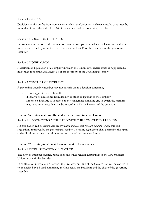#### Section 4 PROFITS

Decisions on the profits from companies in which the Union owns shares must be supported by more than four fifths and at least 14 of the members of the governing assembly.

# Section 5 REDUCTION OF SHARES

Decisions on reduction of the number of shares in companies in which the Union owns shares must be supported by more than two thirds and at least 11 of the members of the governing assembly.

# Section 6 LIQUIDATION

A decision on liquidation of a company in which the Union owns shares must be supported by more than four fifths and at least 14 of the members of the governing assembly.

# Section 7 CONFLICT OF INTERESTS

A governing assembly member may not participate in a decision concerning

- actions against him- or herself
- discharge of him or her from liability or other obligations to the company
- actions or discharge as specified above concerning someone else in which the member may have an interest that may be in conflict with the interests of the company.

# **Chapter 16 Associations affiliated with the Law Students' Union**

Section 1 ASSOCIATIONS AFFILIATED WITH THE LAW STUDENTS' UNION

An association can be designated an *association affiliated with the Law Students' Union* through regulations approved by the governing assembly. The same regulations shall determine the rights and obligations of the association in relation to the Law Students' Union.

# **Chapter 17 Interpretation and amendment to these statues**

Section 1 INTERPRETATION OF STATUTES

The right to interpret statutes, regulations and other general instructions of the Law Students' Union rests with the President.

In conflicts of interpretation between the President and any of the Union's bodies, the conflict is to be decided by a board comprising the Inspector, the President and the chair of the governing assembly.